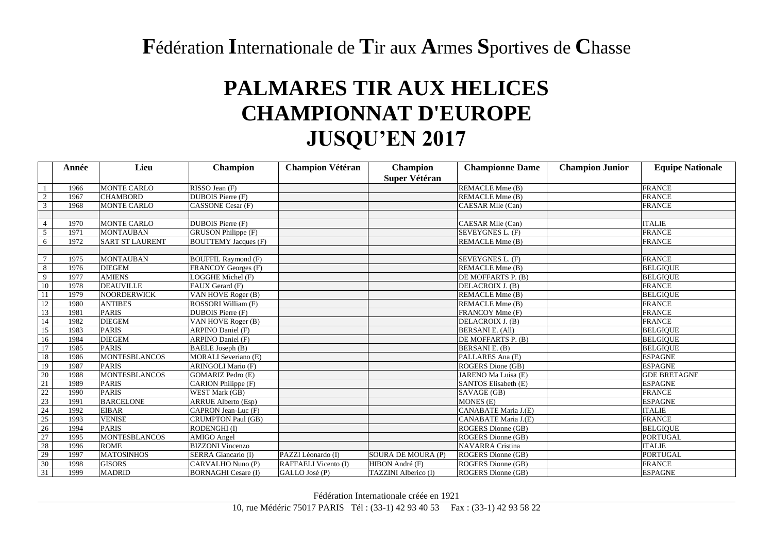## **F**édération **I**nternationale de **T**ir aux **A**rmes **S**portives de **C**hasse

## **PALMARES TIR AUX HELICES CHAMPIONNAT D'EUROPE JUSQU'EN 2017**

|                                                     | Année | Lieu                   | <b>Champion</b>             | <b>Champion Vétéran</b> | <b>Champion</b><br><b>Super Vétéran</b> | <b>Championne Dame</b>  | <b>Champion Junior</b> | <b>Equipe Nationale</b> |
|-----------------------------------------------------|-------|------------------------|-----------------------------|-------------------------|-----------------------------------------|-------------------------|------------------------|-------------------------|
| $\mathbf{1}$                                        | 1966  | <b>MONTE CARLO</b>     | RISSO Jean (F)              |                         |                                         | REMACLE Mme (B)         |                        | <b>FRANCE</b>           |
| $\overline{2}$                                      | 1967  | <b>CHAMBORD</b>        | <b>DUBOIS</b> Pierre (F)    |                         |                                         | REMACLE Mme (B)         |                        | <b>FRANCE</b>           |
| $\overline{3}$                                      | 1968  | <b>MONTE CARLO</b>     | <b>CASSONE Cesar (F)</b>    |                         |                                         | CAESAR Mlle (Can)       |                        | <b>FRANCE</b>           |
|                                                     |       |                        |                             |                         |                                         |                         |                        |                         |
| $\overline{4}$                                      | 1970  | <b>MONTE CARLO</b>     | DUBOIS Pierre (F)           |                         |                                         | CAESAR Mlle (Can)       |                        | <b>ITALIE</b>           |
| $5\phantom{.0}$                                     | 1971  | <b>MONTAUBAN</b>       | GRUSON Philippe (F)         |                         |                                         | SEVEYGNES L. (F)        |                        | <b>FRANCE</b>           |
| 6                                                   | 1972  | <b>SART ST LAURENT</b> | <b>BOUTTEMY Jacques (F)</b> |                         |                                         | REMACLE Mme (B)         |                        | <b>FRANCE</b>           |
|                                                     |       |                        |                             |                         |                                         |                         |                        |                         |
| $\overline{7}$                                      | 1975  | <b>MONTAUBAN</b>       | <b>BOUFFIL Raymond (F)</b>  |                         |                                         | SEVEYGNES L. (F)        |                        | <b>FRANCE</b>           |
| 8                                                   | 1976  | <b>DIEGEM</b>          | <b>FRANCOY Georges (F)</b>  |                         |                                         | REMACLE Mme (B)         |                        | <b>BELGIQUE</b>         |
| 9                                                   | 1977  | <b>AMIENS</b>          | LOGGHE Michel (F)           |                         |                                         | DE MOFFARTS P. (B)      |                        | <b>BELGIOUE</b>         |
| 10                                                  | 1978  | <b>DEAUVILLE</b>       | FAUX Gerard (F)             |                         |                                         | DELACROIX J. (B)        |                        | <b>FRANCE</b>           |
| 11                                                  | 1979  | <b>NOORDERWICK</b>     | VAN HOVE Roger (B)          |                         |                                         | REMACLE Mme (B)         |                        | <b>BELGIQUE</b>         |
| 12                                                  | 1980  | <b>ANTIBES</b>         | ROSSORI William (F)         |                         |                                         | REMACLE Mme (B)         |                        | <b>FRANCE</b>           |
| 13                                                  | 1981  | <b>PARIS</b>           | DUBOIS Pierre (F)           |                         |                                         | FRANCOY Mme (F)         |                        | <b>FRANCE</b>           |
| 14                                                  | 1982  | <b>DIEGEM</b>          | VAN HOVE Roger (B)          |                         |                                         | DELACROIX J. (B)        |                        | <b>FRANCE</b>           |
| 15                                                  | 1983  | <b>PARIS</b>           | <b>ARPINO Daniel (F)</b>    |                         |                                         | <b>BERSANIE.</b> (All)  |                        | <b>BELGIQUE</b>         |
| 16                                                  | 1984  | <b>DIEGEM</b>          | <b>ARPINO Daniel (F)</b>    |                         |                                         | DE MOFFARTS P. (B)      |                        | <b>BELGIQUE</b>         |
| $\overline{17}$                                     | 1985  | <b>PARIS</b>           | BAELE Joseph (B)            |                         |                                         | BERSANIE. (B)           |                        | <b>BELGIOUE</b>         |
| 18                                                  | 1986  | <b>MONTESBLANCOS</b>   | <b>MORALI Severiano (E)</b> |                         |                                         | PALLARES Ana (E)        |                        | <b>ESPAGNE</b>          |
| 19                                                  | 1987  | <b>PARIS</b>           | <b>ARINGOLI Mario (F)</b>   |                         |                                         | ROGERS Dione (GB)       |                        | <b>ESPAGNE</b>          |
| 20                                                  | 1988  | <b>MONTESBLANCOS</b>   | <b>GOMARIZ Pedro (E)</b>    |                         |                                         | JARENO Ma Luisa (E)     |                        | <b>GDE BRETAGNE</b>     |
| 21                                                  | 1989  | <b>PARIS</b>           | CARION Philippe (F)         |                         |                                         | SANTOS Elisabeth (E)    |                        | <b>ESPAGNE</b>          |
| 22                                                  | 1990  | <b>PARIS</b>           | WEST Mark (GB)              |                         |                                         | SAVAGE (GB)             |                        | <b>FRANCE</b>           |
| $\begin{array}{r} 23 \\ 24 \\ 24 \\ 25 \end{array}$ | 1991  | <b>BARCELONE</b>       | <b>ARRUE Alberto (Esp)</b>  |                         |                                         | MONES (E)               |                        | <b>ESPAGNE</b>          |
|                                                     | 1992  | <b>EIBAR</b>           | CAPRON Jean-Luc (F)         |                         |                                         | CANABATE Maria J.(E)    |                        | <b>ITALIE</b>           |
|                                                     | 1993  | <b>VENISE</b>          | <b>CRUMPTON Paul (GB)</b>   |                         |                                         | CANABATE Maria J.(E)    |                        | <b>FRANCE</b>           |
| $\frac{1}{26}$                                      | 1994  | <b>PARIS</b>           | RODENGHI (I)                |                         |                                         | ROGERS Dionne (GB)      |                        | <b>BELGIQUE</b>         |
| 27                                                  | 1995  | <b>MONTESBLANCOS</b>   | AMIGO Angel                 |                         |                                         | ROGERS Dionne (GB)      |                        | <b>PORTUGAL</b>         |
| $\frac{1}{28}$                                      | 1996  | <b>ROME</b>            | <b>BIZZONI</b> Vincenzo     |                         |                                         | <b>NAVARRA</b> Cristina |                        | <b>ITALIE</b>           |
| $\overline{29}$                                     | 1997  | <b>MATOSINHOS</b>      | SERRA Giancarlo (I)         | PAZZI Léonardo (I)      | SOURA DE MOURA (P)                      | ROGERS Dionne (GB)      |                        | <b>PORTUGAL</b>         |
| 30                                                  | 1998  | <b>GISORS</b>          | CARVALHO Nuno (P)           | RAFFAELI Vicento (I)    | HIBON André (F)                         | ROGERS Dionne (GB)      |                        | <b>FRANCE</b>           |
| 31                                                  | 1999  | <b>MADRID</b>          | <b>BORNAGHI Cesare (I)</b>  | GALLO José (P)          | TAZZINI Alberico (I)                    | ROGERS Dionne (GB)      |                        | <b>ESPAGNE</b>          |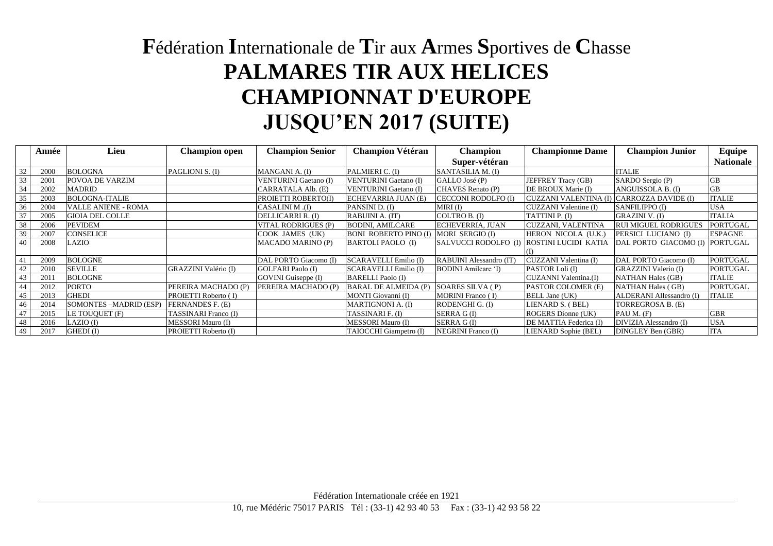## **F**édération **I**nternationale de **T**ir aux **A**rmes **S**portives de **C**hasse **PALMARES TIR AUX HELICES CHAMPIONNAT D'EUROPE JUSQU'EN 2017 (SUITE)**

|    | Année | Lieu                       | <b>Champion open</b>        | <b>Champion Senior</b>       | <b>Champion Vétéran</b>               | <b>Champion</b>                           | <b>Championne Dame</b>    | <b>Champion Junior</b>         | Equipe           |
|----|-------|----------------------------|-----------------------------|------------------------------|---------------------------------------|-------------------------------------------|---------------------------|--------------------------------|------------------|
|    |       |                            |                             |                              |                                       | Super-vétéran                             |                           |                                | <b>Nationale</b> |
| 32 | 2000  | <b>BOLOGNA</b>             | PAGLIONI S. (I)             | MANGANI A. (I)               | PALMIERI C. (I)                       | SANTASILIA M. (I)                         |                           | <b>ITALIE</b>                  |                  |
| 33 | 2001  | POVOA DE VARZIM            |                             | <b>VENTURINI Gaetano (I)</b> | <b>VENTURINI Gaetano (I)</b>          | GALLO José (P)                            | <b>JEFFREY Tracy (GB)</b> | SARDO Sergio (P)               | <b>GB</b>        |
| 34 | 2002  | <b>MADRID</b>              |                             | CARRATALA Alb. (E)           | <b>VENTURINI Gaetano (I)</b>          | CHAVES Renato (P)                         | DE BROUX Marie (I)        | ANGUISSOLA B. (I)              | <b>GB</b>        |
| 35 | 2003  | <b>BOLOGNA-ITALIE</b>      |                             | PROIETTI ROBERTO(I)          | ECHEVARRIA JUAN (E)                   | <b>CECCONI RODOLFO (I)</b>                | CUZZANI VALENTINA (I)     | CARROZZA DAVIDE (I)            | <b>ITALIE</b>    |
| 36 | 2004  | <b>VALLE ANIENE - ROMA</b> |                             | CASALINI M.(I)               | PANSINI D. (I)                        | MIRI (I)                                  | CUZZANI Valentine (I)     | SANFILIPPO (I)                 | <b>USA</b>       |
| 37 | 2005  | <b>GIOIA DEL COLLE</b>     |                             | DELLICARRI R. (I)            | RABUINI A. (IT)                       | COLTRO B. (I)                             | TATTINI P. (I)            | GRAZINI V. (I)                 | <b>ITALIA</b>    |
| 38 | 2006  | <b>PEVIDEM</b>             |                             | VITAL RODRIGUES (P)          | <b>BODINI, AMILCARE</b>               | ECHEVERRIA, JUAN                          | CUZZANI, VALENTINA        | <b>RUI MIGUEL RODRIGUES</b>    | <b>PORTUGAL</b>  |
| 39 | 2007  | CONSELICE                  |                             | COOK JAMES (UK)              | <b>BONI ROBERTO PINO (I)</b>          | MORI SERGIO (I)                           | HERON NICOLA (U.K.)       | PERSICI LUCIANO (I)            | <b>ESPAGNE</b>   |
| 40 | 2008  | LAZIO                      |                             | <b>MACADO MARINO (P)</b>     | <b>BARTOLI PAOLO</b> (I)              | SALVUCCI RODOLFO (I) ROSTINI LUCIDI KATIA |                           | DAL PORTO GIACOMO (I) PORTUGAL |                  |
|    |       |                            |                             |                              |                                       |                                           |                           |                                |                  |
| 41 | 2009  | <b>BOLOGNE</b>             |                             | DAL PORTO Giacomo (I)        | <b>SCARAVELLI Emilio (I)</b>          | RABUINI Alessandro (IT)                   | CUZZANI Valentina (I)     | DAL PORTO Giacomo (I)          | PORTUGAL         |
| 42 | 2010  | <b>SEVILLE</b>             | GRAZZINI Valério (I)        | <b>GOLFARI</b> Paolo (I)     | SCARAVELLI Emilio (I)                 | BODINI Amilcare 'I)                       | PASTOR Loli (I)           | <b>GRAZZINI Valerio (I)</b>    | PORTUGAL         |
| 43 | 2011  | <b>BOLOGNE</b>             |                             | GOVINI Guiseppe (I)          | <b>BARELLI</b> Paolo (I)              |                                           | CUZANNI Valentina.(I)     | <b>NATHAN Hales (GB)</b>       | <b>ITALIE</b>    |
| 44 | 2012  | <b>PORTO</b>               | PEREIRA MACHADO (P)         | PEREIRA MACHADO (P)          | BARAL DE ALMEIDA (P) SOARES SILVA (P) |                                           | PASTOR COLOMER (E)        | <b>NATHAN Hales (GB)</b>       | PORTUGAL         |
| 45 | 2013  | <b>GHEDI</b>               | PROIETTI Roberto (I)        |                              | MONTI Giovanni (I)                    | <b>MORINI</b> Franco (I)                  | <b>BELL Jane (UK)</b>     | ALDERANI Allessandro (I)       | <b>ITALIE</b>    |
| 46 | 2014  | SOMONTES -MADRID (ESP)     | FERNANDES F. (E)            |                              | <b>MARTIGNONI A. (I)</b>              | RODENGHI G. (I)                           | LIENARD S. (BEL)          | TORREGROSA B. (E)              |                  |
| 47 | 2015  | LE TOUQUET (F)             | <b>TASSINARI Franco (I)</b> |                              | TASSINARI F. (I)                      | SERRA G(I)                                | <b>ROGERS</b> Dionne (UK) | PAU M. (F)                     | <b>GBR</b>       |
| 48 | 2016  | $LAZIO$ (I)                | MESSORI Mauro (I)           |                              | MESSORI Mauro (I)                     | SERRA G(I)                                | DE MATTIA Federica (I)    | DIVIZIA Alessandro (I)         | <b>USA</b>       |
| 49 | 2017  | GHEDI (I)                  | PROIETTI Roberto (I)        |                              | TAIOCCHI Giampetro (I)                | <b>NEGRINI</b> Franco (I)                 | LIENARD Sophie (BEL)      | DINGLEY Ben (GBR)              | <b>ITA</b>       |

Fédération Internationale créée en 1921